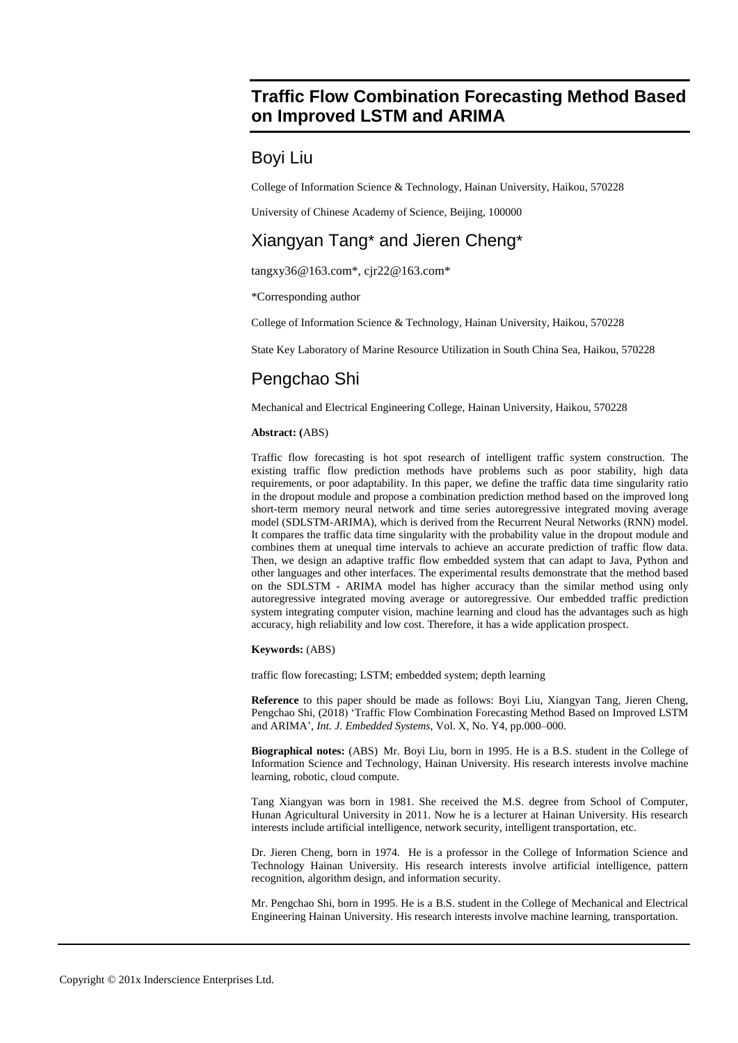## **Traffic Flow Combination Forecasting Method Based on Improved LSTM and ARIMA**

## Boyi Liu

College of Information Science & Technology, Hainan University, Haikou, 570228

University of Chinese Academy of Science, Beijing, 100000

# Xiangyan Tang\* and Jieren Cheng\*

tangxy36@163.com\*, cjr22@163.com\*

\*Corresponding author

College of Information Science & Technology, Hainan University, Haikou, 570228

State Key Laboratory of Marine Resource Utilization in South China Sea, Haikou, 570228

# Pengchao Shi

Mechanical and Electrical Engineering College, Hainan University, Haikou, 570228

## **Abstract: (**ABS)

Traffic flow forecasting is hot spot research of intelligent traffic system construction. The existing traffic flow prediction methods have problems such as poor stability, high data requirements, or poor adaptability. In this paper, we define the traffic data time singularity ratio in the dropout module and propose a combination prediction method based on the improved long short-term memory neural network and time series autoregressive integrated moving average model (SDLSTM-ARIMA), which is derived from the Recurrent Neural Networks (RNN) model. It compares the traffic data time singularity with the probability value in the dropout module and combines them at unequal time intervals to achieve an accurate prediction of traffic flow data. Then, we design an adaptive traffic flow embedded system that can adapt to Java, Python and other languages and other interfaces. The experimental results demonstrate that the method based on the SDLSTM - ARIMA model has higher accuracy than the similar method using only autoregressive integrated moving average or autoregressive. Our embedded traffic prediction system integrating computer vision, machine learning and cloud has the advantages such as high accuracy, high reliability and low cost. Therefore, it has a wide application prospect.

## **Keywords:** (ABS)

traffic flow forecasting; LSTM; embedded system; depth learning

**Reference** to this paper should be made as follows: Boyi Liu, Xiangyan Tang, Jieren Cheng, Pengchao Shi, (2018) 'Traffic Flow Combination Forecasting Method Based on Improved LSTM and ARIMA', *Int. J. Embedded Systems*, Vol. X, No. Y4, pp.000–000.

**Biographical notes:** (ABS) Mr. Boyi Liu, born in 1995. He is a B.S. student in the College of Information Science and Technology, Hainan University. His research interests involve machine learning, robotic, cloud compute.

Tang Xiangyan was born in 1981. She received the M.S. degree from School of Computer, Hunan Agricultural University in 2011. Now he is a lecturer at Hainan University. His research interests include artificial intelligence, network security, intelligent transportation, etc.

Dr. Jieren Cheng, born in 1974. He is a professor in the College of Information Science and Technology Hainan University. His research interests involve artificial intelligence, pattern recognition, algorithm design, and information security.

Mr. Pengchao Shi, born in 1995. He is a B.S. student in the College of Mechanical and Electrical Engineering Hainan University. His research interests involve machine learning, transportation.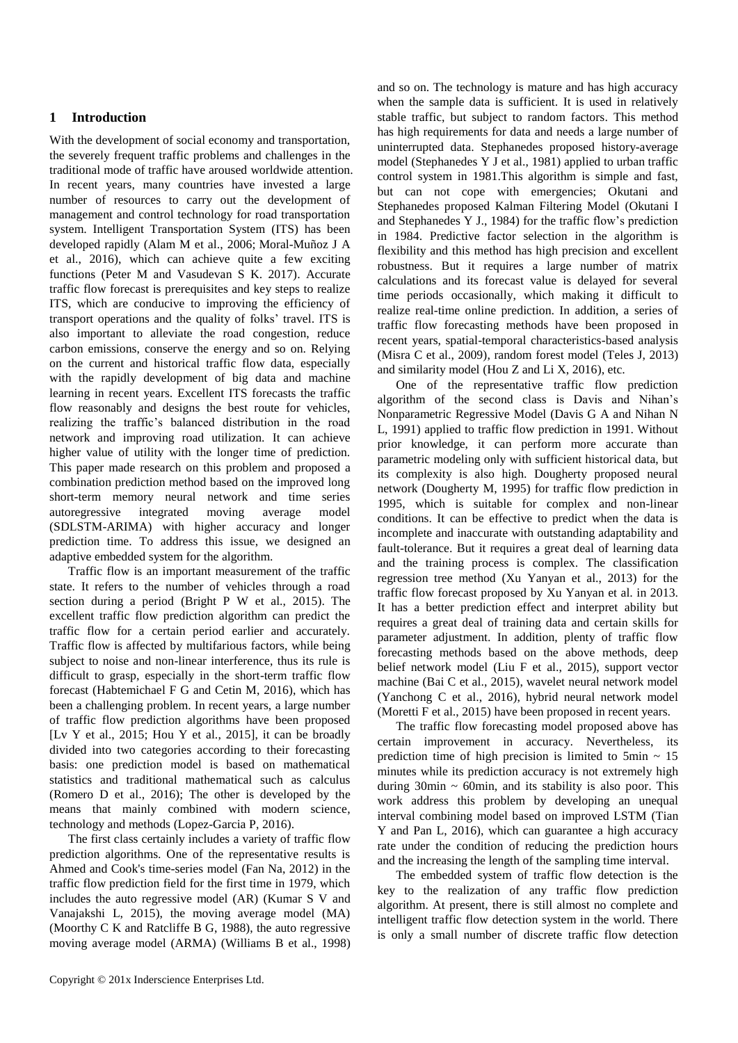## **1 Introduction**

With the development of social economy and transportation, the severely frequent traffic problems and challenges in the traditional mode of traffic have aroused worldwide attention. In recent years, many countries have invested a large number of resources to carry out the development of management and control technology for road transportation system. Intelligent Transportation System (ITS) has been developed rapidly (Alam M et al., 2006; Moral-Muñoz J A et al., 2016), which can achieve quite a few exciting functions (Peter M and Vasudevan S K. 2017). Accurate traffic flow forecast is prerequisites and key steps to realize ITS, which are conducive to improving the efficiency of transport operations and the quality of folks' travel. ITS is also important to alleviate the road congestion, reduce carbon emissions, conserve the energy and so on. Relying on the current and historical traffic flow data, especially with the rapidly development of big data and machine learning in recent years. Excellent ITS forecasts the traffic flow reasonably and designs the best route for vehicles, realizing the traffic's balanced distribution in the road network and improving road utilization. It can achieve higher value of utility with the longer time of prediction. This paper made research on this problem and proposed a combination prediction method based on the improved long short-term memory neural network and time series autoregressive integrated moving average model (SDLSTM-ARIMA) with higher accuracy and longer prediction time. To address this issue, we designed an adaptive embedded system for the algorithm.

Traffic flow is an important measurement of the traffic state. It refers to the number of vehicles through a road section during a period (Bright P W et al., 2015). The excellent traffic flow prediction algorithm can predict the traffic flow for a certain period earlier and accurately. Traffic flow is affected by multifarious factors, while being subject to noise and non-linear interference, thus its rule is difficult to grasp, especially in the short-term traffic flow forecast (Habtemichael F G and Cetin M, 2016), which has been a challenging problem. In recent years, a large number of traffic flow prediction algorithms have been proposed [Lv Y et al., 2015; Hou Y et al., 2015], it can be broadly divided into two categories according to their forecasting basis: one prediction model is based on mathematical statistics and traditional mathematical such as calculus (Romero D et al., 2016); The other is developed by the means that mainly combined with modern science, technology and methods (Lopez-Garcia P, 2016).

The first class certainly includes a variety of traffic flow prediction algorithms. One of the representative results is Ahmed and Cook's time-series model (Fan Na, 2012) in the traffic flow prediction field for the first time in 1979, which includes the auto regressive model (AR) (Kumar S V and Vanajakshi L, 2015), the moving average model (MA) (Moorthy C K and Ratcliffe B G, 1988), the auto regressive moving average model (ARMA) (Williams B et al., 1998) and so on. The technology is mature and has high accuracy when the sample data is sufficient. It is used in relatively stable traffic, but subject to random factors. This method has high requirements for data and needs a large number of uninterrupted data. Stephanedes proposed history-average model (Stephanedes Y J et al., 1981) applied to urban traffic control system in 1981.This algorithm is simple and fast, but can not cope with emergencies; Okutani and Stephanedes proposed Kalman Filtering Model (Okutani I and Stephanedes Y J., 1984) for the traffic flow's prediction in 1984. Predictive factor selection in the algorithm is flexibility and this method has high precision and excellent robustness. But it requires a large number of matrix calculations and its forecast value is delayed for several time periods occasionally, which making it difficult to realize real-time online prediction. In addition, a series of traffic flow forecasting methods have been proposed in recent years, spatial-temporal characteristics-based analysis (Misra C et al., 2009), random forest model (Teles J, 2013) and similarity model (Hou Z and Li X, 2016), etc.

One of the representative traffic flow prediction algorithm of the second class is Davis and Nihan's Nonparametric Regressive Model (Davis G A and Nihan N L, 1991) applied to traffic flow prediction in 1991. Without prior knowledge, it can perform more accurate than parametric modeling only with sufficient historical data, but its complexity is also high. Dougherty proposed neural network (Dougherty M, 1995) for traffic flow prediction in 1995, which is suitable for complex and non-linear conditions. It can be effective to predict when the data is incomplete and inaccurate with outstanding adaptability and fault-tolerance. But it requires a great deal of learning data and the training process is complex. The classification regression tree method (Xu Yanyan et al., 2013) for the traffic flow forecast proposed by Xu Yanyan et al. in 2013. It has a better prediction effect and interpret ability but requires a great deal of training data and certain skills for parameter adjustment. In addition, plenty of traffic flow forecasting methods based on the above methods, deep belief network model (Liu F et al., 2015), support vector machine (Bai C et al., 2015), wavelet neural network model (Yanchong C et al., 2016), hybrid neural network model (Moretti F et al., 2015) have been proposed in recent years.

The traffic flow forecasting model proposed above has certain improvement in accuracy. Nevertheless, its prediction time of high precision is limited to  $5$ min  $\sim 15$ minutes while its prediction accuracy is not extremely high during  $30$ min  $\sim 60$ min, and its stability is also poor. This work address this problem by developing an unequal interval combining model based on improved LSTM (Tian Y and Pan L, 2016), which can guarantee a high accuracy rate under the condition of reducing the prediction hours and the increasing the length of the sampling time interval.

The embedded system of traffic flow detection is the key to the realization of any traffic flow prediction algorithm. At present, there is still almost no complete and intelligent traffic flow detection system in the world. There is only a small number of discrete traffic flow detection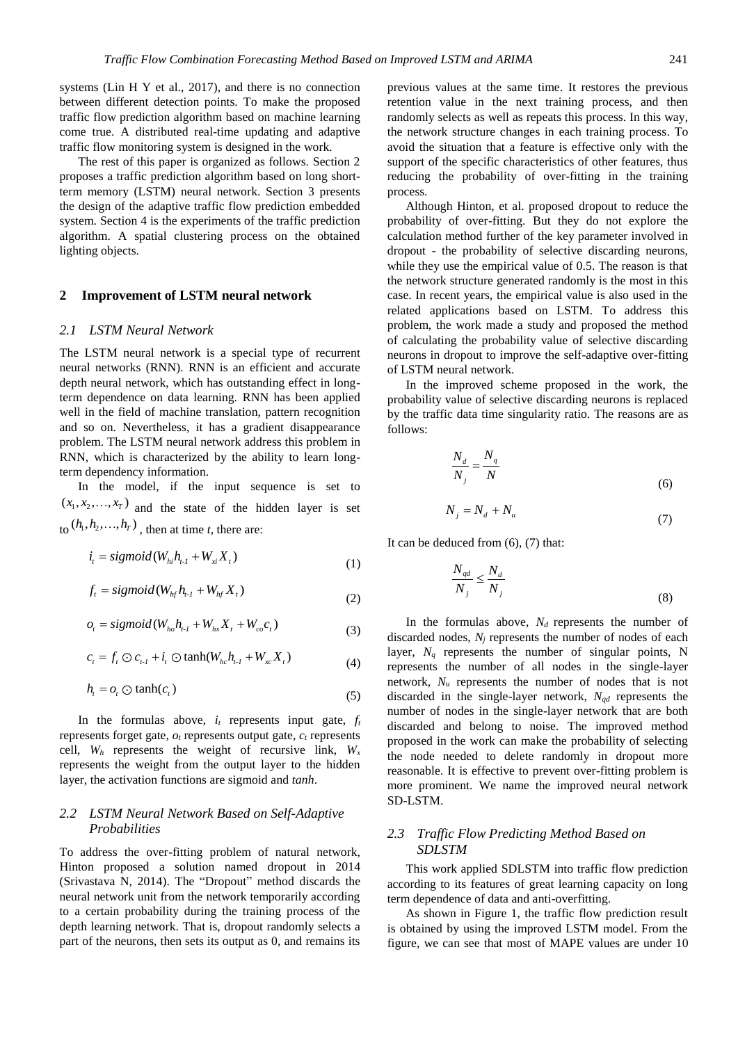systems (Lin H Y et al., 2017), and there is no connection between different detection points. To make the proposed traffic flow prediction algorithm based on machine learning come true. A distributed real-time updating and adaptive traffic flow monitoring system is designed in the work.

The rest of this paper is organized as follows. Section 2 proposes a traffic prediction algorithm based on long shortterm memory (LSTM) neural network. Section 3 presents the design of the adaptive traffic flow prediction embedded system. Section 4 is the experiments of the traffic prediction algorithm. A spatial clustering process on the obtained lighting objects.

## **2 Improvement of LSTM neural network**

#### *2.1 LSTM Neural Network*

The LSTM neural network is a special type of recurrent neural networks (RNN). RNN is an efficient and accurate depth neural network, which has outstanding effect in longterm dependence on data learning. RNN has been applied well in the field of machine translation, pattern recognition and so on. Nevertheless, it has a gradient disappearance problem. The LSTM neural network address this problem in RNN, which is characterized by the ability to learn longterm dependency information.

In the model, if the input sequence is set to  $(x_1, x_2,...,x_T)$  and the state of the hidden layer is set  $\mathfrak{t}_{0}(h_{1}, h_{2},..., h_{T})$ , then at time *t*, there are:

$$
i_{t} = sigmoid(W_{hi}h_{t-1} + W_{xi}X_{t})
$$
\n(1)

$$
f_t = sigmoid(W_{hf}h_{t-1} + W_{hf}X_t)
$$
\n(2)

$$
o_{t} = sigmoid(W_{ho}h_{t-1} + W_{hx}X_{t} + W_{co}c_{t})
$$
\n(3)

$$
c_{t} = f_{t} \odot c_{t} + i_{t} \odot \tanh(W_{hc}h_{t} + W_{xc}X_{t})
$$
\n(4)

$$
h_{i} = o_{i} \odot \tanh(c_{i}) \tag{5}
$$

In the formulas above,  $i_t$  represents input gate,  $f_t$ represents forget gate, *o<sup>t</sup>* represents output gate, *c<sup>t</sup>* represents cell, *W<sup>h</sup>* represents the weight of recursive link, *W<sup>x</sup>* represents the weight from the output layer to the hidden layer, the activation functions are sigmoid and *tanh*.

## *2.2 LSTM Neural Network Based on Self-Adaptive Probabilities*

To address the over-fitting problem of natural network, Hinton proposed a solution named dropout in 2014 (Srivastava N, 2014). The "Dropout" method discards the neural network unit from the network temporarily according to a certain probability during the training process of the depth learning network. That is, dropout randomly selects a part of the neurons, then sets its output as 0, and remains its previous values at the same time. It restores the previous retention value in the next training process, and then randomly selects as well as repeats this process. In this way, the network structure changes in each training process. To avoid the situation that a feature is effective only with the support of the specific characteristics of other features, thus reducing the probability of over-fitting in the training process.

Although Hinton, et al. proposed dropout to reduce the probability of over-fitting. But they do not explore the calculation method further of the key parameter involved in dropout - the probability of selective discarding neurons, while they use the empirical value of 0.5. The reason is that the network structure generated randomly is the most in this case. In recent years, the empirical value is also used in the related applications based on LSTM. To address this problem, the work made a study and proposed the method of calculating the probability value of selective discarding neurons in dropout to improve the self-adaptive over-fitting of LSTM neural network.

In the improved scheme proposed in the work, the probability value of selective discarding neurons is replaced by the traffic data time singularity ratio. The reasons are as follows:

$$
\frac{N_d}{N_j} = \frac{N_q}{N}
$$
\n(6)

$$
N_j = N_d + N_u \tag{7}
$$

It can be deduced from  $(6)$ ,  $(7)$  that:

$$
\frac{N_{qd}}{N_j} \le \frac{N_d}{N_j} \tag{8}
$$

In the formulas above, *N<sup>d</sup>* represents the number of discarded nodes, *N<sup>j</sup>* represents the number of nodes of each layer, *N<sup>q</sup>* represents the number of singular points, N represents the number of all nodes in the single-layer network, *N<sup>u</sup>* represents the number of nodes that is not discarded in the single-layer network, *Nqd* represents the number of nodes in the single-layer network that are both discarded and belong to noise. The improved method proposed in the work can make the probability of selecting the node needed to delete randomly in dropout more reasonable. It is effective to prevent over-fitting problem is more prominent. We name the improved neural network SD-LSTM.

## *2.3 Traffic Flow Predicting Method Based on SDLSTM*

This work applied SDLSTM into traffic flow prediction according to its features of great learning capacity on long term dependence of data and anti-overfitting.

As shown in Figure 1, the traffic flow prediction result is obtained by using the improved LSTM model. From the figure, we can see that most of MAPE values are under 10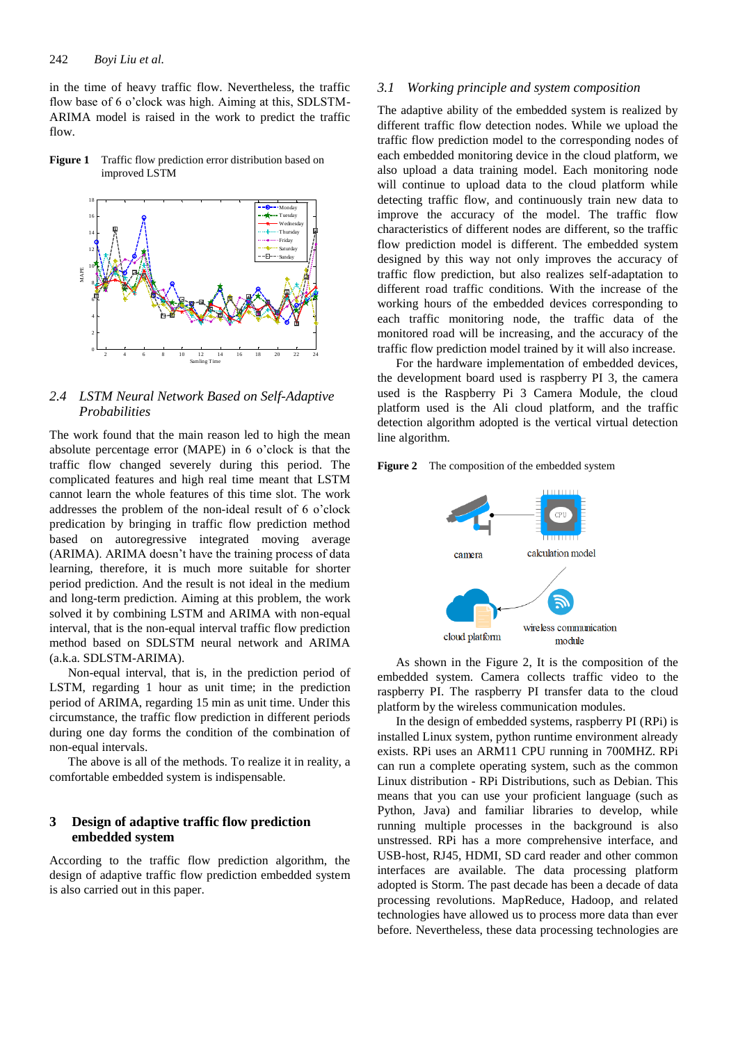in the time of heavy traffic flow. Nevertheless, the traffic flow base of 6 o'clock was high. Aiming at this, SDLSTM-ARIMA model is raised in the work to predict the traffic flow.

**Figure 1** Traffic flow prediction error distribution based on improved LSTM



*2.4 LSTM Neural Network Based on Self-Adaptive Probabilities*

The work found that the main reason led to high the mean absolute percentage error (MAPE) in 6 o'clock is that the traffic flow changed severely during this period. The complicated features and high real time meant that LSTM cannot learn the whole features of this time slot. The work addresses the problem of the non-ideal result of 6 o'clock predication by bringing in traffic flow prediction method based on autoregressive integrated moving average (ARIMA). ARIMA doesn't have the training process of data learning, therefore, it is much more suitable for shorter period prediction. And the result is not ideal in the medium and long-term prediction. Aiming at this problem, the work solved it by combining LSTM and ARIMA with non-equal interval, that is the non-equal interval traffic flow prediction method based on SDLSTM neural network and ARIMA (a.k.a. SDLSTM-ARIMA).

Non-equal interval, that is, in the prediction period of LSTM, regarding 1 hour as unit time; in the prediction period of ARIMA, regarding 15 min as unit time. Under this circumstance, the traffic flow prediction in different periods during one day forms the condition of the combination of non-equal intervals.

The above is all of the methods. To realize it in reality, a comfortable embedded system is indispensable.

## **3 Design of adaptive traffic flow prediction embedded system**

According to the traffic flow prediction algorithm, the design of adaptive traffic flow prediction embedded system is also carried out in this paper.

## *3.1 Working principle and system composition*

The adaptive ability of the embedded system is realized by different traffic flow detection nodes. While we upload the traffic flow prediction model to the corresponding nodes of each embedded monitoring device in the cloud platform, we also upload a data training model. Each monitoring node will continue to upload data to the cloud platform while detecting traffic flow, and continuously train new data to improve the accuracy of the model. The traffic flow characteristics of different nodes are different, so the traffic flow prediction model is different. The embedded system designed by this way not only improves the accuracy of traffic flow prediction, but also realizes self-adaptation to different road traffic conditions. With the increase of the working hours of the embedded devices corresponding to each traffic monitoring node, the traffic data of the monitored road will be increasing, and the accuracy of the traffic flow prediction model trained by it will also increase.

For the hardware implementation of embedded devices, the development board used is raspberry PI 3, the camera used is the Raspberry Pi 3 Camera Module, the cloud platform used is the Ali cloud platform, and the traffic detection algorithm adopted is the vertical virtual detection line algorithm.





As shown in the Figure 2, It is the composition of the embedded system. Camera collects traffic video to the raspberry PI. The raspberry PI transfer data to the cloud platform by the wireless communication modules.

In the design of embedded systems, raspberry PI (RPi) is installed Linux system, python runtime environment already exists. RPi uses an ARM11 CPU running in 700MHZ. RPi can run a complete operating system, such as the common Linux distribution - RPi Distributions, such as Debian. This means that you can use your proficient language (such as Python, Java) and familiar libraries to develop, while running multiple processes in the background is also unstressed. RPi has a more comprehensive interface, and USB-host, RJ45, HDMI, SD card reader and other common interfaces are available. The data processing platform adopted is Storm. The past decade has been a decade of data processing revolutions. MapReduce, Hadoop, and related technologies have allowed us to process more data than ever before. Nevertheless, these data processing technologies are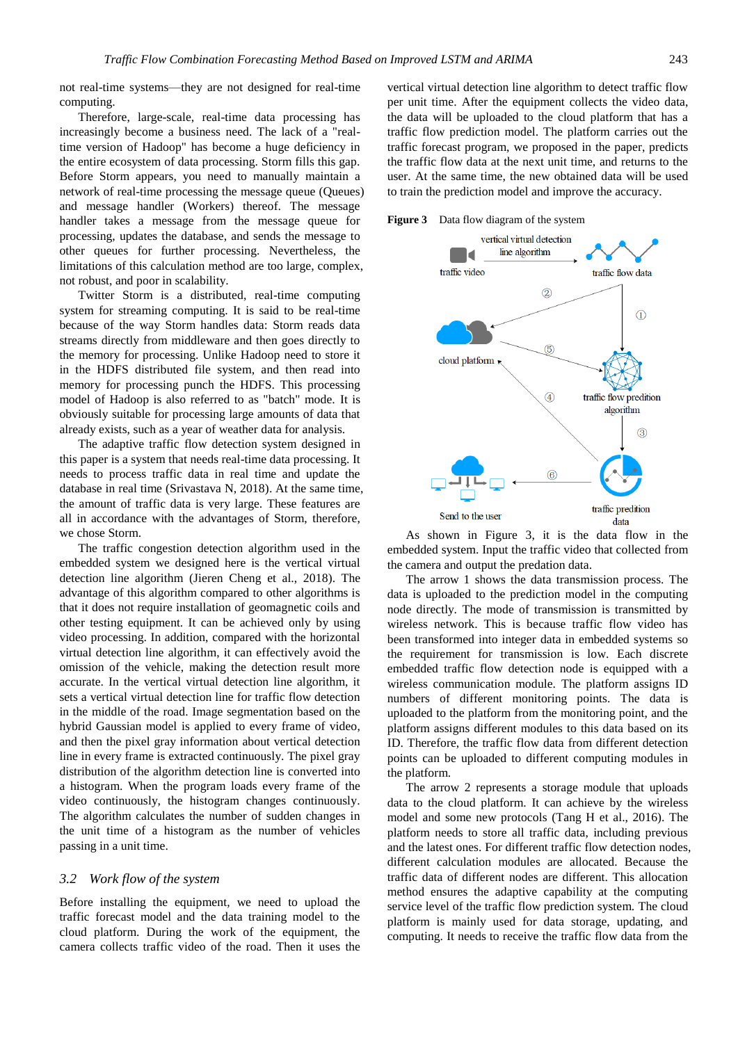not real-time systems—they are not designed for real-time computing.

Therefore, large-scale, real-time data processing has increasingly become a business need. The lack of a "realtime version of Hadoop" has become a huge deficiency in the entire ecosystem of data processing. Storm fills this gap. Before Storm appears, you need to manually maintain a network of real-time processing the message queue (Queues) and message handler (Workers) thereof. The message handler takes a message from the message queue for processing, updates the database, and sends the message to other queues for further processing. Nevertheless, the limitations of this calculation method are too large, complex, not robust, and poor in scalability.

Twitter Storm is a distributed, real-time computing system for streaming computing. It is said to be real-time because of the way Storm handles data: Storm reads data streams directly from middleware and then goes directly to the memory for processing. Unlike Hadoop need to store it in the HDFS distributed file system, and then read into memory for processing punch the HDFS. This processing model of Hadoop is also referred to as "batch" mode. It is obviously suitable for processing large amounts of data that already exists, such as a year of weather data for analysis.

The adaptive traffic flow detection system designed in this paper is a system that needs real-time data processing. It needs to process traffic data in real time and update the database in real time (Srivastava N, 2018). At the same time, the amount of traffic data is very large. These features are all in accordance with the advantages of Storm, therefore, we chose Storm.

The traffic congestion detection algorithm used in the embedded system we designed here is the vertical virtual detection line algorithm (Jieren Cheng et al., 2018). The advantage of this algorithm compared to other algorithms is that it does not require installation of geomagnetic coils and other testing equipment. It can be achieved only by using video processing. In addition, compared with the horizontal virtual detection line algorithm, it can effectively avoid the omission of the vehicle, making the detection result more accurate. In the vertical virtual detection line algorithm, it sets a vertical virtual detection line for traffic flow detection in the middle of the road. Image segmentation based on the hybrid Gaussian model is applied to every frame of video, and then the pixel gray information about vertical detection line in every frame is extracted continuously. The pixel gray distribution of the algorithm detection line is converted into a histogram. When the program loads every frame of the video continuously, the histogram changes continuously. The algorithm calculates the number of sudden changes in the unit time of a histogram as the number of vehicles passing in a unit time.

#### *3.2 Work flow of the system*

Before installing the equipment, we need to upload the traffic forecast model and the data training model to the cloud platform. During the work of the equipment, the camera collects traffic video of the road. Then it uses the

vertical virtual detection line algorithm to detect traffic flow per unit time. After the equipment collects the video data, the data will be uploaded to the cloud platform that has a traffic flow prediction model. The platform carries out the traffic forecast program, we proposed in the paper, predicts the traffic flow data at the next unit time, and returns to the user. At the same time, the new obtained data will be used to train the prediction model and improve the accuracy.

**Figure 3** Data flow diagram of the system



As shown in Figure 3, it is the data flow in the embedded system. Input the traffic video that collected from the camera and output the predation data.

The arrow 1 shows the data transmission process. The data is uploaded to the prediction model in the computing node directly. The mode of transmission is transmitted by wireless network. This is because traffic flow video has been transformed into integer data in embedded systems so the requirement for transmission is low. Each discrete embedded traffic flow detection node is equipped with a wireless communication module. The platform assigns ID numbers of different monitoring points. The data is uploaded to the platform from the monitoring point, and the platform assigns different modules to this data based on its ID. Therefore, the traffic flow data from different detection points can be uploaded to different computing modules in the platform.

The arrow 2 represents a storage module that uploads data to the cloud platform. It can achieve by the wireless model and some new protocols (Tang H et al., 2016). The platform needs to store all traffic data, including previous and the latest ones. For different traffic flow detection nodes, different calculation modules are allocated. Because the traffic data of different nodes are different. This allocation method ensures the adaptive capability at the computing service level of the traffic flow prediction system. The cloud platform is mainly used for data storage, updating, and computing. It needs to receive the traffic flow data from the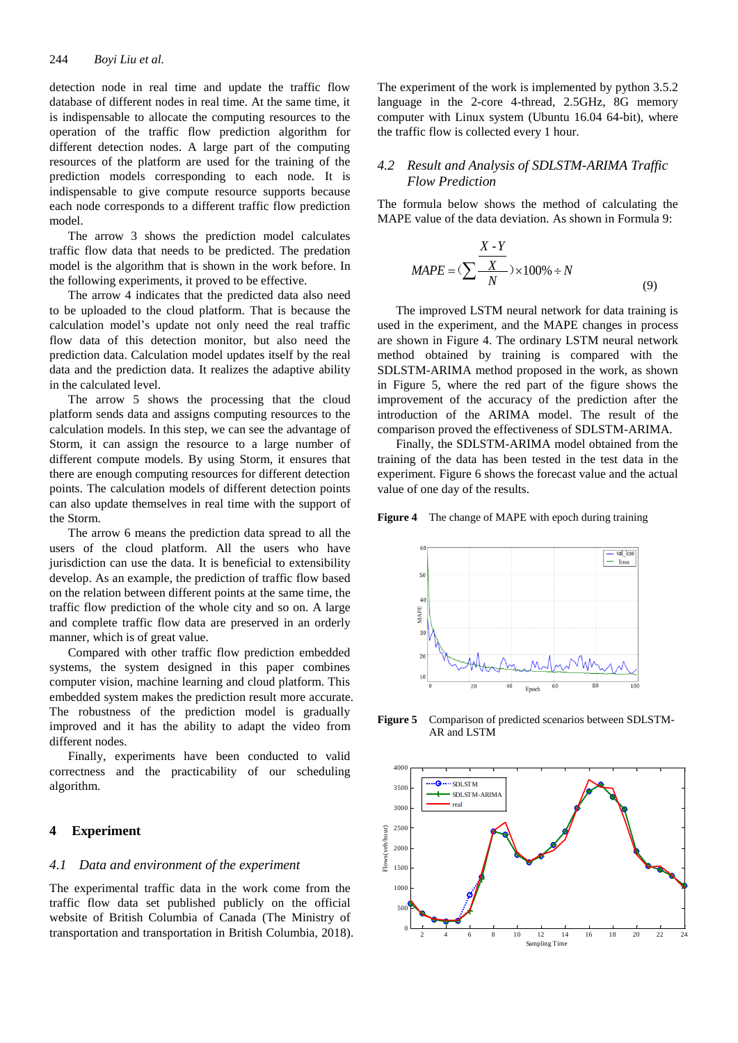detection node in real time and update the traffic flow database of different nodes in real time. At the same time, it is indispensable to allocate the computing resources to the operation of the traffic flow prediction algorithm for different detection nodes. A large part of the computing resources of the platform are used for the training of the prediction models corresponding to each node. It is indispensable to give compute resource supports because each node corresponds to a different traffic flow prediction model.

The arrow 3 shows the prediction model calculates traffic flow data that needs to be predicted. The predation model is the algorithm that is shown in the work before. In the following experiments, it proved to be effective.

The arrow 4 indicates that the predicted data also need to be uploaded to the cloud platform. That is because the calculation model's update not only need the real traffic flow data of this detection monitor, but also need the prediction data. Calculation model updates itself by the real data and the prediction data. It realizes the adaptive ability in the calculated level.

The arrow 5 shows the processing that the cloud platform sends data and assigns computing resources to the calculation models. In this step, we can see the advantage of Storm, it can assign the resource to a large number of different compute models. By using Storm, it ensures that there are enough computing resources for different detection points. The calculation models of different detection points can also update themselves in real time with the support of the Storm.

The arrow 6 means the prediction data spread to all the users of the cloud platform. All the users who have jurisdiction can use the data. It is beneficial to extensibility develop. As an example, the prediction of traffic flow based on the relation between different points at the same time, the traffic flow prediction of the whole city and so on. A large and complete traffic flow data are preserved in an orderly manner, which is of great value.

Compared with other traffic flow prediction embedded systems, the system designed in this paper combines computer vision, machine learning and cloud platform. This embedded system makes the prediction result more accurate. The robustness of the prediction model is gradually improved and it has the ability to adapt the video from different nodes.

Finally, experiments have been conducted to valid correctness and the practicability of our scheduling algorithm.

## **4 Experiment**

## *4.1 Data and environment of the experiment*

The experimental traffic data in the work come from the traffic flow data set published publicly on the official website of British Columbia of Canada (The Ministry of transportation and transportation in British Columbia, 2018). The experiment of the work is implemented by python 3.5.2 language in the 2-core 4-thread, 2.5GHz, 8G memory computer with Linux system (Ubuntu 16.04 64-bit), where the traffic flow is collected every 1 hour.

## *4.2 Result and Analysis of SDLSTM-ARIMA Traffic Flow Prediction*

The formula below shows the method of calculating the MAPE value of the data deviation. As shown in Formula 9:

$$
MAPE = (\sum \frac{X - Y}{N}) \times 100\% \div N
$$
\n(9)

The improved LSTM neural network for data training is used in the experiment, and the MAPE changes in process are shown in Figure 4. The ordinary LSTM neural network method obtained by training is compared with the SDLSTM-ARIMA method proposed in the work, as shown in Figure 5, where the red part of the figure shows the improvement of the accuracy of the prediction after the introduction of the ARIMA model. The result of the comparison proved the effectiveness of SDLSTM-ARIMA.

Finally, the SDLSTM-ARIMA model obtained from the training of the data has been tested in the test data in the experiment. Figure 6 shows the forecast value and the actual value of one day of the results.

**Figure 4** The change of MAPE with epoch during training



**Figure 5** Comparison of predicted scenarios between SDLSTM-AR and LSTM

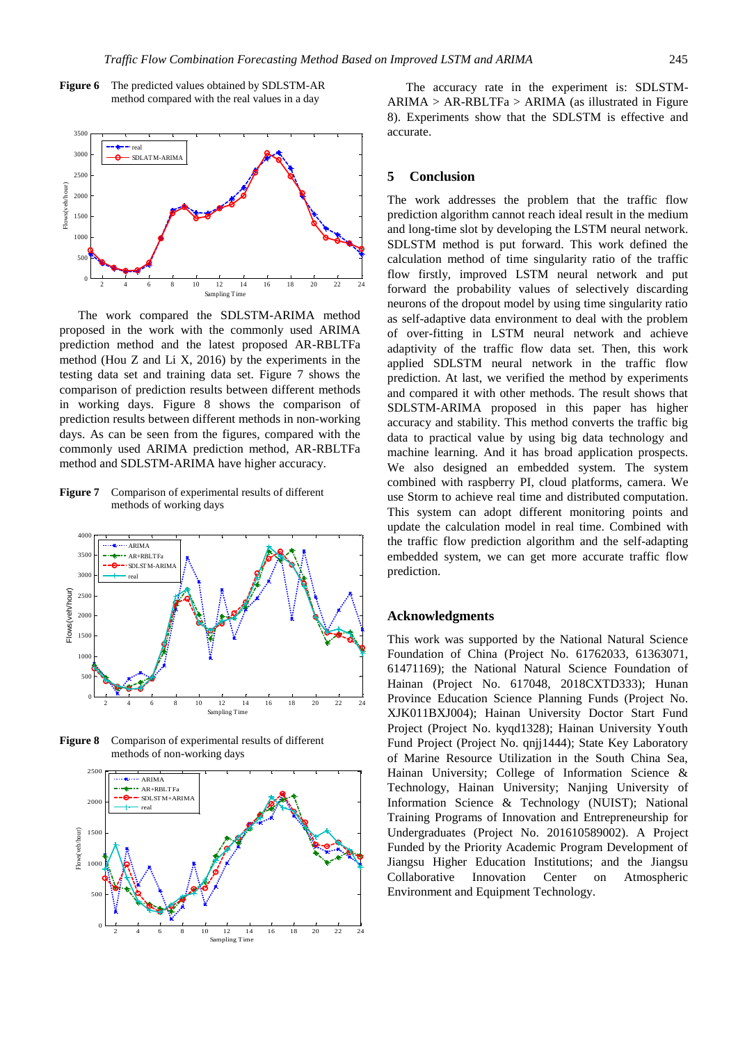



The work compared the SDLSTM-ARIMA method proposed in the work with the commonly used ARIMA prediction method and the latest proposed AR-RBLTFa method (Hou Z and Li X, 2016) by the experiments in the testing data set and training data set. Figure 7 shows the comparison of prediction results between different methods in working days. Figure 8 shows the comparison of prediction results between different methods in non-working days. As can be seen from the figures, compared with the commonly used ARIMA prediction method, AR-RBLTFa method and SDLSTM-ARIMA have higher accuracy.

**Figure 7** Comparison of experimental results of different methods of working days



**Figure 8** Comparison of experimental results of different methods of non-working days



The accuracy rate in the experiment is: SDLSTM- $ARIMA > AR-RBLTFa > ARIMA$  (as illustrated in Figure 8). Experiments show that the SDLSTM is effective and accurate.

#### **5 Conclusion**

The work addresses the problem that the traffic flow prediction algorithm cannot reach ideal result in the medium and long-time slot by developing the LSTM neural network. SDLSTM method is put forward. This work defined the calculation method of time singularity ratio of the traffic flow firstly, improved LSTM neural network and put forward the probability values of selectively discarding neurons of the dropout model by using time singularity ratio as self-adaptive data environment to deal with the problem of over-fitting in LSTM neural network and achieve adaptivity of the traffic flow data set. Then, this work applied SDLSTM neural network in the traffic flow prediction. At last, we verified the method by experiments and compared it with other methods. The result shows that SDLSTM-ARIMA proposed in this paper has higher accuracy and stability. This method converts the traffic big data to practical value by using big data technology and machine learning. And it has broad application prospects. We also designed an embedded system. The system combined with raspberry PI, cloud platforms, camera. We use Storm to achieve real time and [distributed](file:///C:/Users/ethan/Documents/4_è½¯ä»¶/003_æœ‰é�) computation. This system can adopt different monitoring points and update the calculation model in real time. Combined with the traffic flow prediction algorithm and the self-adapting embedded system, we can get more accurate traffic flow prediction.

## **Acknowledgments**

This work was supported by the National Natural Science Foundation of China (Project No. 61762033, 61363071, 61471169); the National Natural Science Foundation of Hainan (Project No. 617048, 2018CXTD333); Hunan Province Education Science Planning Funds (Project No. XJK011BXJ004); Hainan University Doctor Start Fund Project (Project No. kyqd1328); Hainan University Youth Fund Project (Project No. qnjj1444); State Key Laboratory of Marine Resource Utilization in the South China Sea, Hainan University; College of Information Science & Technology, Hainan University; Nanjing University of Information Science & Technology (NUIST); National Training Programs of Innovation and Entrepreneurship for Undergraduates (Project No. 201610589002). A Project Funded by the Priority Academic Program Development of Jiangsu Higher Education Institutions; and the Jiangsu Collaborative Innovation Center on Atmospheric Environment and Equipment Technology.